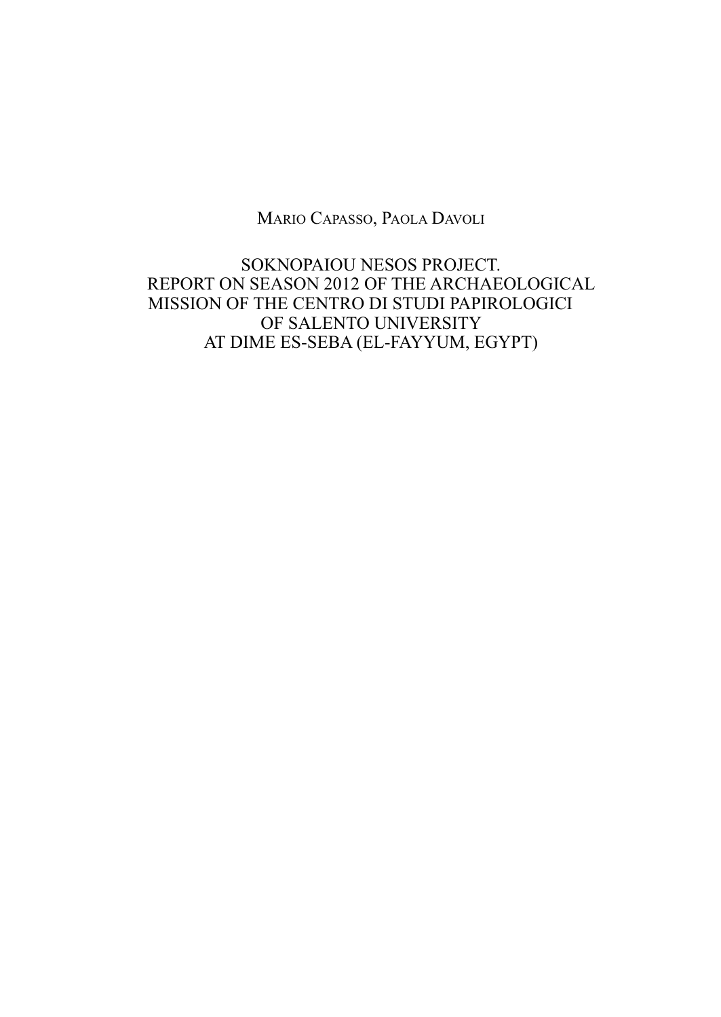Mario Capasso, paola Davoli

soKNopaioU NEsos proJECT. rEporT oN sEasoN 2012 oF THE arCHaEoloGiCal MissioN oF THE CENTro Di sTUDi papiroloGiCi oF salENTo UNivErsiTY aT DiME Es-sEBa (El-FaYYUM, EGYpT)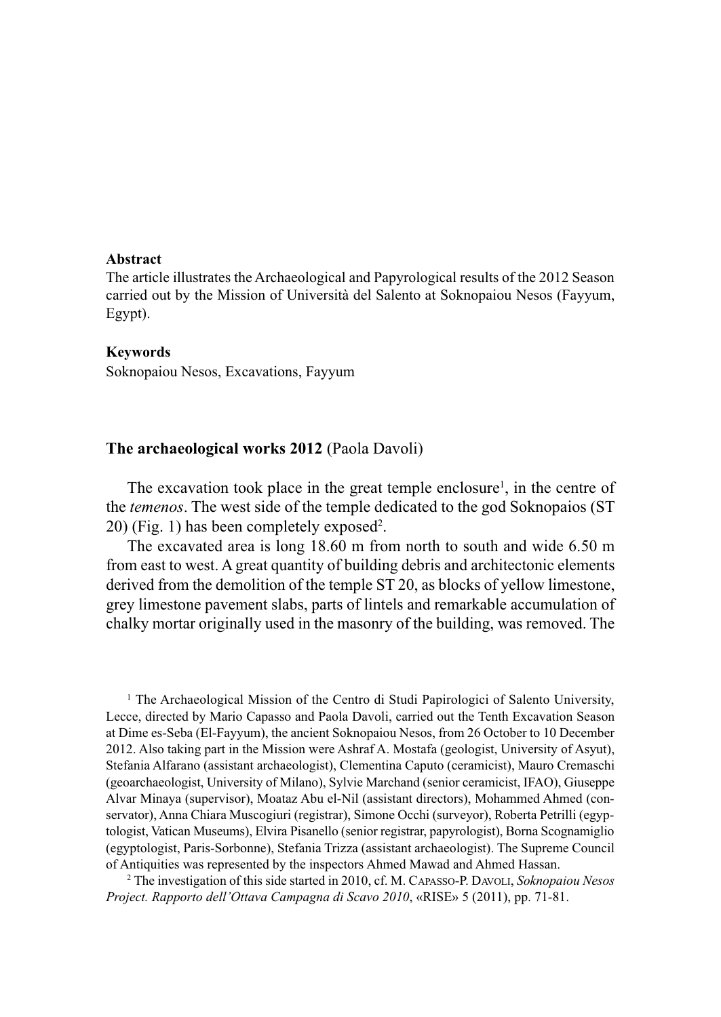## **Abstract**

The article illustrates the archaeological and papyrological results of the 2012 season carried out by the Mission of Università del salento at soknopaiou Nesos (Fayyum, Egypt).

## **Keywords**

soknopaiou Nesos, Excavations, Fayyum

## **The archaeological works 2012** (Paola Davoli)

The excavation took place in the great temple enclosure<sup>1</sup>, in the centre of the *temenos*. The west side of the temple dedicated to the god Soknopaios (ST) 20) (Fig. 1) has been completely exposed2 .

The excavated area is long 18.60 m from north to south and wide 6.50 m from east to west. A great quantity of building debris and architectonic elements derived from the demolition of the temple sT 20, as blocks of yellow limestone, grey limestone pavement slabs, parts of lintels and remarkable accumulation of chalky mortar originally used in the masonry of the building, was removed. The

<sup>1</sup> The Archaeological Mission of the Centro di Studi Papirologici of Salento University, lecce, directed by Mario Capasso and paola Davoli, carried out the Tenth Excavation season at Dime es-seba (El-Fayyum), the ancient soknopaiou Nesos, from 26 october to 10 December 2012. also taking part in the Mission were ashraf a. Mostafa (geologist, University of asyut), stefania alfarano (assistant archaeologist), Clementina Caputo (ceramicist), Mauro Cremaschi (geoarchaeologist, University of Milano), sylvie Marchand (senior ceramicist, iFao), Giuseppe alvar Minaya (supervisor), Moataz abu el-Nil (assistant directors), Mohammed ahmed (conservator), Anna Chiara Muscogiuri (registrar), Simone Occhi (surveyor), Roberta Petrilli (egyptologist, vatican Museums), Elvira pisanello (senior registrar, papyrologist), Borna scognamiglio (egyptologist, paris-sorbonne), stefania Trizza (assistant archaeologist). The supreme Council of Antiquities was represented by the inspectors Ahmed Mawad and Ahmed Hassan.

<sup>2</sup> The investigation of this side started in 2010, cf. M. Capasso-p. Davoli, *Soknopaiou Nesos Project. Rapporto dell'Ottava Campagna di Scavo 2010*, «RISE» 5 (2011), pp. 71-81.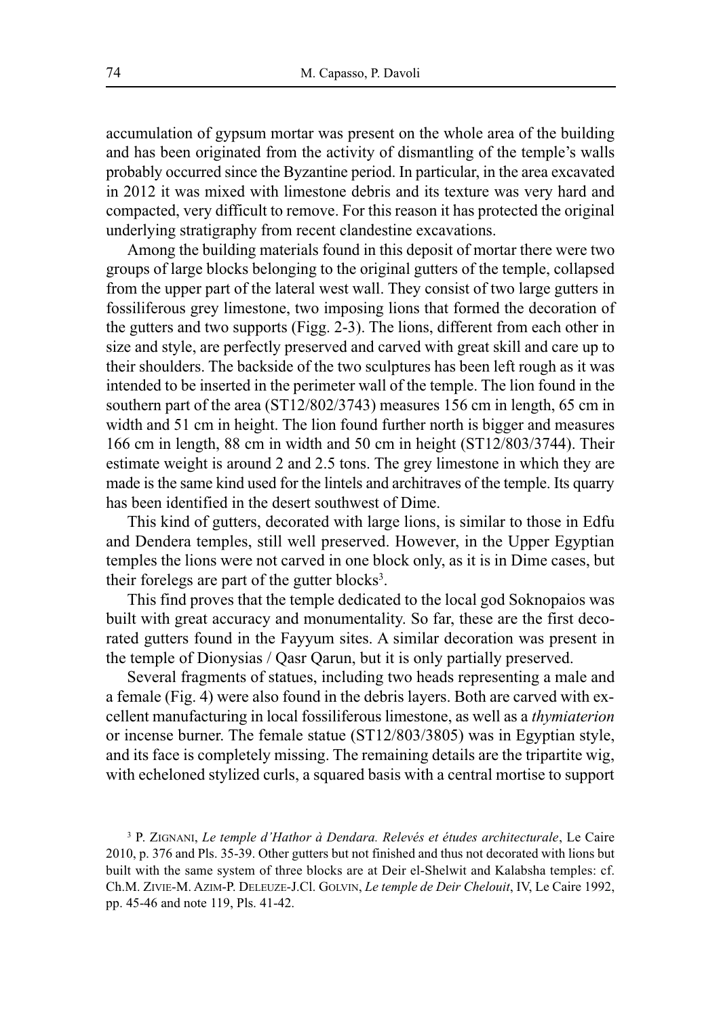accumulation of gypsum mortar was present on the whole area of the building and has been originated from the activity of dismantling of the temple's walls probably occurred since the Byzantine period. in particular, in the area excavated in 2012 it was mixed with limestone debris and its texture was very hard and compacted, very difficult to remove. For this reason it has protected the original underlying stratigraphy from recent clandestine excavations.

Among the building materials found in this deposit of mortar there were two groups of large blocks belonging to the original gutters of the temple, collapsed from the upper part of the lateral west wall. They consist of two large gutters in fossiliferous grey limestone, two imposing lions that formed the decoration of the gutters and two supports (Figg. 2-3). The lions, different from each other in size and style, are perfectly preserved and carved with great skill and care up to their shoulders. The backside of the two sculptures has been left rough as it was intended to be inserted in the perimeter wall of the temple. The lion found in the southern part of the area (ST12/802/3743) measures 156 cm in length, 65 cm in width and 51 cm in height. The lion found further north is bigger and measures 166 cm in length, 88 cm in width and 50 cm in height (sT12/803/3744). Their estimate weight is around 2 and 2.5 tons. The grey limestone in which they are made is the same kind used for the lintels and architraves of the temple. Its quarry has been identified in the desert southwest of Dime.

This kind of gutters, decorated with large lions, is similar to those in Edfu and Dendera temples, still well preserved. However, in the Upper Egyptian temples the lions were not carved in one block only, as it is in Dime cases, but their forelegs are part of the gutter blocks<sup>3</sup>.

This find proves that the temple dedicated to the local god soknopaios was built with great accuracy and monumentality. So far, these are the first decorated gutters found in the Fayyum sites. A similar decoration was present in the temple of Dionysias / Qasr Qarun, but it is only partially preserved.

several fragments of statues, including two heads representing a male and a female (Fig. 4) were also found in the debris layers. Both are carved with excellent manufacturing in local fossiliferous limestone, as well as a *thymiaterion* or incense burner. The female statue (ST12/803/3805) was in Egyptian style, and its face is completely missing. The remaining details are the tripartite wig, with echeloned stylized curls, a squared basis with a central mortise to support

<sup>3</sup> p. ZiGNaNi, *Le temple d'Hathor à Dendara. Relevés et études architecturale*, le Caire 2010, p. 376 and pls. 35-39. other gutters but not finished and thus not decorated with lions but built with the same system of three blocks are at Deir el-shelwit and Kalabsha temples: cf. Ch.M. ZiviE-M. aZiM-p. DElEUZE-J.Cl. GolviN, *Le temple de Deir Chelouit*, iv, le Caire 1992, pp. 45-46 and note 119, pls. 41-42.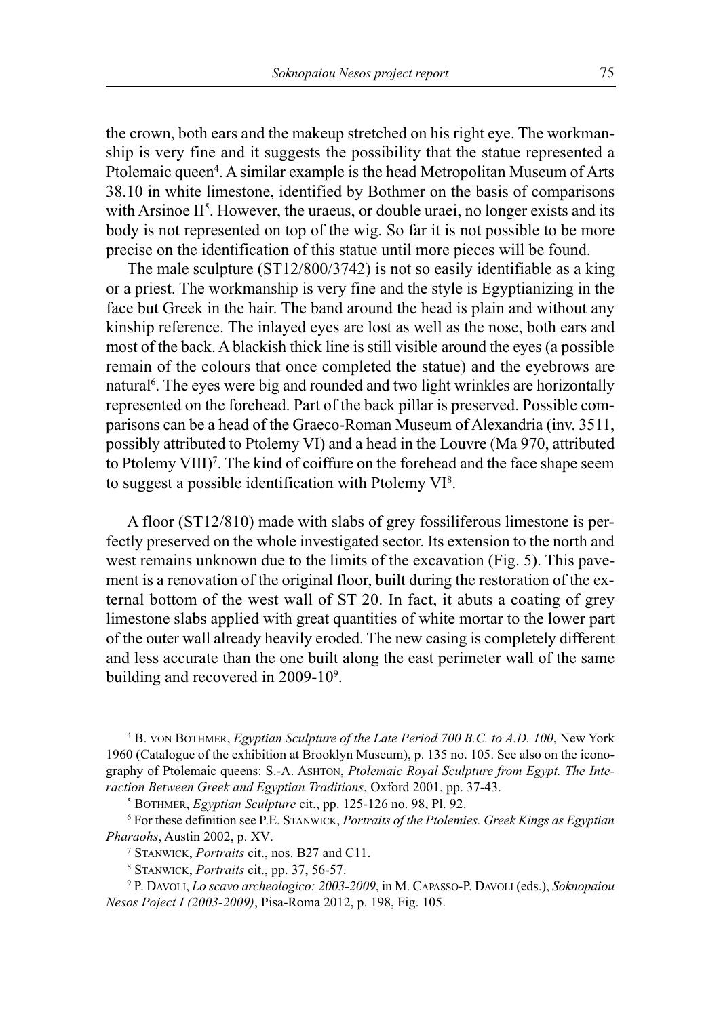the crown, both ears and the makeup stretched on his right eye. The workmanship is very fine and it suggests the possibility that the statue represented a Ptolemaic queen<sup>4</sup>. A similar example is the head Metropolitan Museum of Arts 38.10 in white limestone, identified by Bothmer on the basis of comparisons with Arsinoe  $II<sup>5</sup>$ . However, the uraeus, or double uraei, no longer exists and its body is not represented on top of the wig. So far it is not possible to be more precise on the identification of this statue until more pieces will be found.

The male sculpture (sT12/800/3742) is not so easily identifiable as a king or a priest. The workmanship is very fine and the style is Egyptianizing in the face but Greek in the hair. The band around the head is plain and without any kinship reference. The inlayed eyes are lost as well as the nose, both ears and most of the back. a blackish thick line is still visible around the eyes (a possible remain of the colours that once completed the statue) and the eyebrows are natural6 . The eyes were big and rounded and two light wrinkles are horizontally represented on the forehead. Part of the back pillar is preserved. Possible comparisons can be a head of the Graeco-Roman Museum of Alexandria (inv. 3511, possibly attributed to Ptolemy VI) and a head in the Louvre (Ma 970, attributed to Ptolemy VIII)<sup>7</sup>. The kind of coiffure on the forehead and the face shape seem to suggest a possible identification with Ptolemy  $VI^8$ .

a floor (sT12/810) made with slabs of grey fossiliferous limestone is perfectly preserved on the whole investigated sector. Its extension to the north and west remains unknown due to the limits of the excavation (Fig. 5). This pavement is a renovation of the original floor, built during the restoration of the external bottom of the west wall of sT 20. in fact, it abuts a coating of grey limestone slabs applied with great quantities of white mortar to the lower part of the outer wall already heavily eroded. The new casing is completely different and less accurate than the one built along the east perimeter wall of the same building and recovered in 2009-10<sup>9</sup>.

<sup>4</sup> B. voN BoTHMEr, *Egyptian Sculpture of the Late Period 700 B.C. to A.D. 100*, New York 1960 (Catalogue of the exhibition at Brooklyn Museum), p. 135 no. 105. see also on the iconography of Ptolemaic queens: S.-A. ASHTON, *Ptolemaic Royal Sculpture from Egypt. The Interaction Between Greek and Egyptian Traditions*, Oxford 2001, pp. 37-43.

<sup>5</sup> BoTHMEr, *Egyptian Sculpture* cit., pp. 125-126 no. 98, pl. 92.

<sup>6</sup> For these definition see p.E. sTaNwiCK, *Portraits of the Ptolemies. Greek Kings as Egyptian Pharaohs*, Austin 2002, p. XV.<br><sup>7</sup> STANWICK, *Portraits* cit., nos. B27 and C11.

<sup>8</sup> sTaNwiCK, *Portraits* cit., pp. 37, 56-57.

<sup>9</sup> p. Davoli, *Lo scavo archeologico: 2003-2009*, in M. Capasso-p. Davoli (eds.), *Soknopaiou Nesos Poject I (2003-2009)*, Pisa-Roma 2012, p. 198, Fig. 105.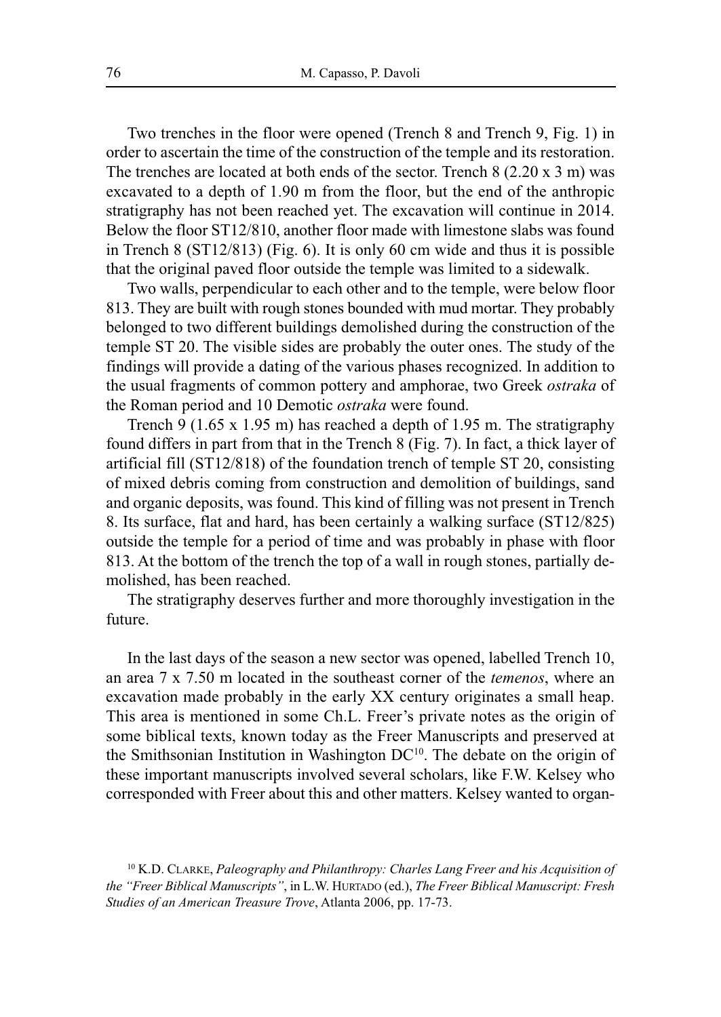Two trenches in the floor were opened (Trench 8 and Trench 9, Fig. 1) in order to ascertain the time of the construction of the temple and its restoration. The trenches are located at both ends of the sector. Trench 8 (2.20 x 3 m) was excavated to a depth of 1.90 m from the floor, but the end of the anthropic stratigraphy has not been reached yet. The excavation will continue in 2014. Below the floor sT12/810, another floor made with limestone slabs was found in Trench 8 (sT12/813) (Fig. 6). it is only 60 cm wide and thus it is possible that the original paved floor outside the temple was limited to a sidewalk.

Two walls, perpendicular to each other and to the temple, were below floor 813. They are built with rough stones bounded with mud mortar. They probably belonged to two different buildings demolished during the construction of the temple sT 20. The visible sides are probably the outer ones. The study of the findings will provide a dating of the various phases recognized. in addition to the usual fragments of common pottery and amphorae, two Greek *ostraka* of the Roman period and 10 Demotic *ostraka* were found.

Trench 9 (1.65 x 1.95 m) has reached a depth of 1.95 m. The stratigraphy found differs in part from that in the Trench 8 (Fig. 7). in fact, a thick layer of artificial fill (sT12/818) of the foundation trench of temple sT 20, consisting of mixed debris coming from construction and demolition of buildings, sand and organic deposits, was found. This kind of filling was not present in Trench 8. Its surface, flat and hard, has been certainly a walking surface (ST12/825) outside the temple for a period of time and was probably in phase with floor 813. at the bottom of the trench the top of a wall in rough stones, partially demolished, has been reached.

The stratigraphy deserves further and more thoroughly investigation in the future.

In the last days of the season a new sector was opened, labelled Trench 10, an area 7 x 7.50 m located in the southeast corner of the *temenos*, where an excavation made probably in the early xx century originates a small heap. This area is mentioned in some Ch.l. Freer's private notes as the origin of some biblical texts, known today as the Freer Manuscripts and preserved at the Smithsonian Institution in Washington  $DC^{10}$ . The debate on the origin of these important manuscripts involved several scholars, like F.w. Kelsey who corresponded with Freer about this and other matters. Kelsey wanted to organ-

<sup>10</sup> K.D. ClarKE, *Paleography and Philanthropy: Charles Lang Freer and his Acquisition of the "Freer Biblical Manuscripts"*, in l.w. HUrTaDo (ed.), *The Freer Biblical Manuscript: Fresh Studies of an American Treasure Trove*, Atlanta 2006, pp. 17-73.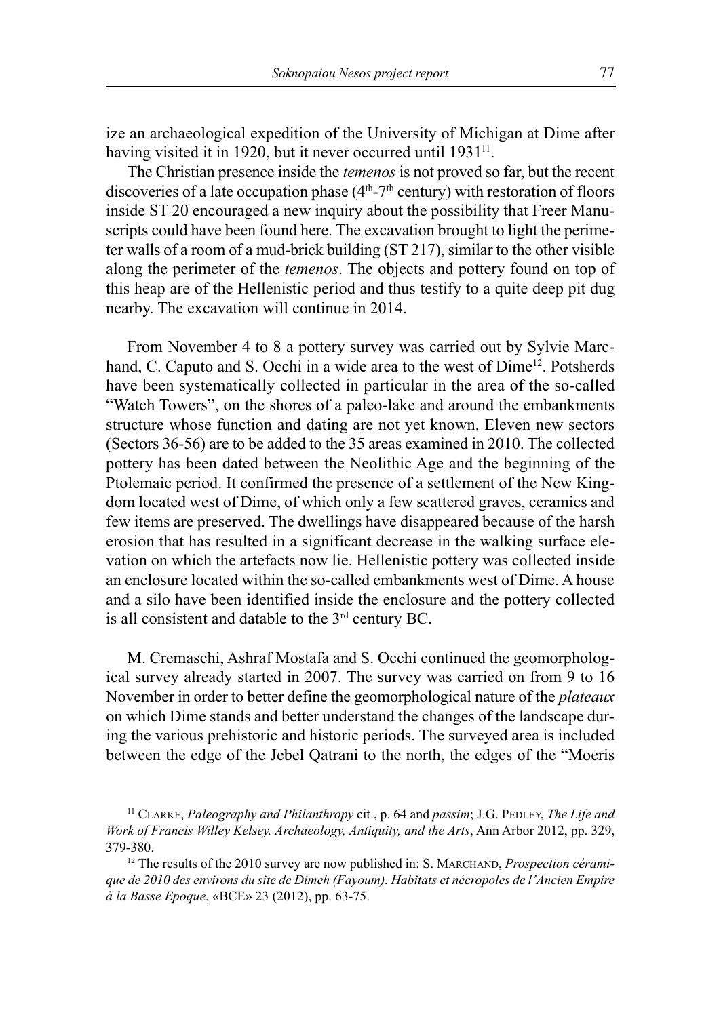ize an archaeological expedition of the University of Michigan at Dime after having visited it in 1920, but it never occurred until 1931<sup>11</sup>.

The Christian presence inside the *temenos* is not proved so far, but the recent discoveries of a late occupation phase  $(4<sup>th</sup>-7<sup>th</sup>$  century) with restoration of floors inside sT 20 encouraged a new inquiry about the possibility that Freer Manuscripts could have been found here. The excavation brought to light the perimeter walls of a room of a mud-brick building (sT 217), similar to the other visible along the perimeter of the *temenos*. The objects and pottery found on top of this heap are of the Hellenistic period and thus testify to a quite deep pit dug nearby. The excavation will continue in 2014.

From November 4 to 8 a pottery survey was carried out by Sylvie Marchand, C. Caputo and S. Occhi in a wide area to the west of Dime<sup>12</sup>. Potsherds have been systematically collected in particular in the area of the so-called "Watch Towers", on the shores of a paleo-lake and around the embankments structure whose function and dating are not yet known. Eleven new sectors (sectors 36-56) are to be added to the 35 areas examined in 2010. The collected pottery has been dated between the Neolithic age and the beginning of the Ptolemaic period. It confirmed the presence of a settlement of the New Kingdom located west of Dime, of which only a few scattered graves, ceramics and few items are preserved. The dwellings have disappeared because of the harsh erosion that has resulted in a significant decrease in the walking surface elevation on which the artefacts now lie. Hellenistic pottery was collected inside an enclosure located within the so-called embankments west of Dime. A house and a silo have been identified inside the enclosure and the pottery collected is all consistent and datable to the 3rd century BC.

M. Cremaschi, Ashraf Mostafa and S. Occhi continued the geomorphological survey already started in 2007. The survey was carried on from 9 to 16 November in order to better define the geomorphological nature of the *plateaux* on which Dime stands and better understand the changes of the landscape during the various prehistoric and historic periods. The surveyed area is included between the edge of the Jebel Qatrani to the north, the edges of the "Moeris

<sup>&</sup>lt;sup>11</sup> CLARKE, *Paleography and Philanthropy* cit., p. 64 and *passim*; J.G. PEDLEY, *The Life and Work of Francis Willey Kelsey. Archaeology, Antiquity, and the Arts, Ann Arbor 2012, pp. 329,* 379-380.

<sup>&</sup>lt;sup>12</sup> The results of the 2010 survey are now published in: S. MARCHAND, *Prospection céramique de 2010 des environs du site de Dimeh (Fayoum). Habitats et nécropoles de l'Ancien Empire à la Basse Epoque*, «BCE» 23 (2012), pp. 63-75.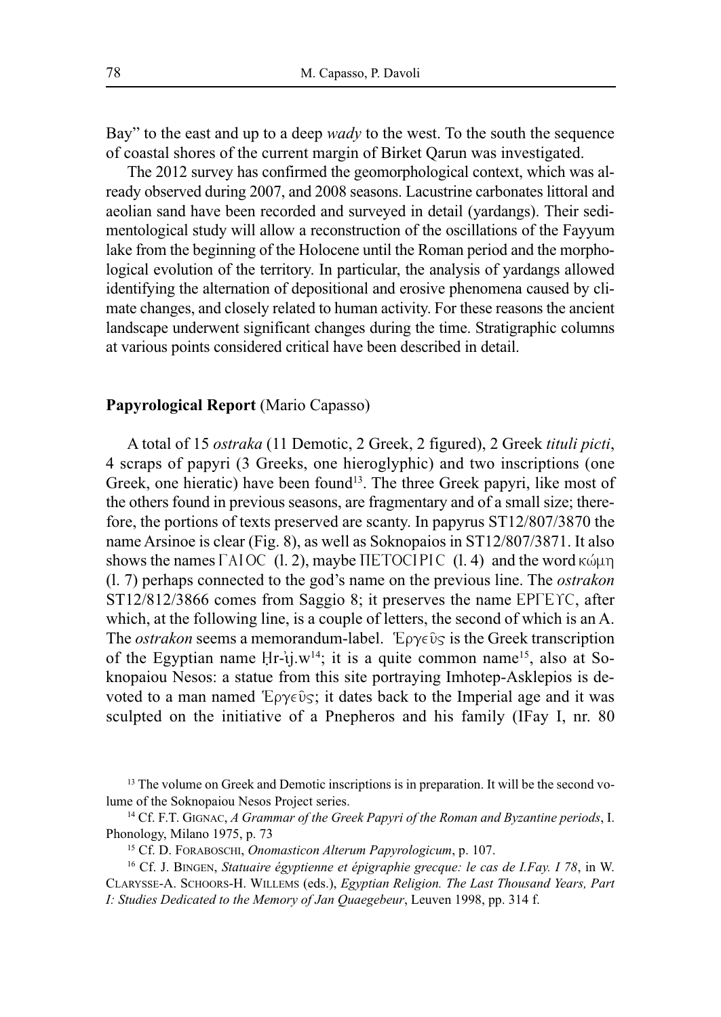Bay" to the east and up to a deep *wady* to the west. To the south the sequence of coastal shores of the current margin of Birket Qarun was investigated.

The 2012 survey has confirmed the geomorphological context, which was already observed during 2007, and 2008 seasons. lacustrine carbonates littoral and aeolian sand have been recorded and surveyed in detail (yardangs). Their sedimentological study will allow a reconstruction of the oscillations of the Fayyum lake from the beginning of the Holocene until the Roman period and the morphological evolution of the territory. in particular, the analysis of yardangs allowed identifying the alternation of depositional and erosive phenomena caused by climate changes, and closely related to human activity. For these reasons the ancient landscape underwent significant changes during the time. Stratigraphic columns at various points considered critical have been described in detail.

## **Papyrological Report** (Mario Capasso)

a total of 15 *ostraka* (11 Demotic, 2 Greek, 2 figured), 2 Greek *tituli picti*, 4 scraps of papyri (3 Greeks, one hieroglyphic) and two inscriptions (one Greek, one hieratic) have been found<sup>13</sup>. The three Greek papyri, like most of the others found in previous seasons, are fragmentary and of a small size; therefore, the portions of texts preserved are scanty. in papyrus sT12/807/3870 the name Arsinoe is clear (Fig. 8), as well as Soknopaios in ST12/807/3871. It also shows the names  $\Gamma$ AIOC (1.2), maybe IIETOCIPIC (1.4) and the word  $\kappa \omega \mu \eta$ (l. 7) perhaps connected to the god's name on the previous line. The *ostrakon*  $ST12/812/3866$  comes from Saggio 8; it preserves the name EPIEYC, after which, at the following line, is a couple of letters, the second of which is an A. The *ostrakon* seems a memorandum-label.  $E\rho\gamma\epsilon\hat{v}_S$  is the Greek transcription of the Egyptian name Hr- $i$ j.w<sup>14</sup>; it is a quite common name<sup>15</sup>, also at Soknopaiou Nesos: a statue from this site portraying Imhotep-Asklepios is devoted to a man named  $E\rho\gamma\epsilon\hat{v}_s$ ; it dates back to the Imperial age and it was sculpted on the initiative of a Pnepheros and his family (IFay I, nr. 80)

<sup>&</sup>lt;sup>13</sup> The volume on Greek and Demotic inscriptions is in preparation. It will be the second volume of the Soknopaiou Nesos Project series.

<sup>&</sup>lt;sup>14</sup> Cf. F.T. GIGNAC, A Grammar of the Greek Papyri of the Roman and Byzantine periods, I. phonology, Milano 1975, p. 73

<sup>15</sup> Cf. D. ForaBosCHi, *Onomasticon Alterum Papyrologicum*, p. 107.

<sup>16</sup> Cf. J. BiNGEN, *Statuaire égyptienne et épigraphie grecque: le cas de I.Fay. I 78*, in w. ClarYssE-a. sCHoors-H. willEMs (eds.), *Egyptian Religion. The Last Thousand Years, Part I: Studies Dedicated to the Memory of Jan Quaegebeur*, leuven 1998, pp. 314 f.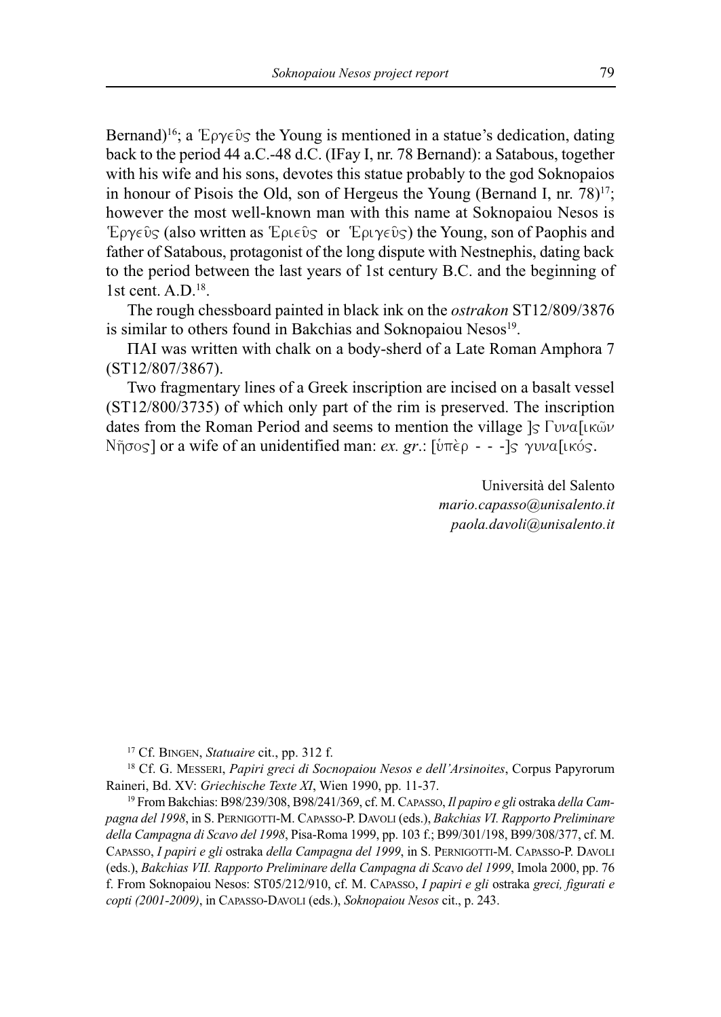Bernand)<sup>16</sup>; a  $E\rho\gamma\epsilon\hat{v}_S$  the Young is mentioned in a statue's dedication, dating back to the period 44 a.C.-48 d.C. (IFay I, nr. 78 Bernand): a Satabous, together with his wife and his sons, devotes this statue probably to the god Soknopaios in honour of Pisois the Old, son of Hergeus the Young (Bernand I, nr.  $78$ )<sup>17</sup>; however the most well-known man with this name at Soknopaiou Nesos is Eργεῦς (also written as Έριεῦς or Έριγεῦς) the Young, son of Paophis and father of satabous, protagonist of the long dispute with Nestnephis, dating back to the period between the last years of 1st century B.C. and the beginning of 1st cent.  $A.D.<sup>18</sup>$ .

The rough chessboard painted in black ink on the *ostrakon* sT12/809/3876 is similar to others found in Bakchias and Soknopaiou Nesos<sup>19</sup>.

TAI was written with chalk on a body-sherd of a Late Roman Amphora 7 (sT12/807/3867).

Two fragmentary lines of a Greek inscription are incised on a basalt vessel (sT12/800/3735) of which only part of the rim is preserved. The inscription dates from the Roman Period and seems to mention the village  $\frac{1}{s} \Gamma \nu \alpha$ [ik w Nῆσoς] or a wife of an unidentified man: *ex. gr*.: [ύπèρ - - -]ς γυνα[ικός.

> Università del salento *mario.capasso@unisalento.it paola.davoli@unisalento.it*

<sup>17</sup> Cf. BiNGEN, *Statuaire* cit., pp. 312 f.

<sup>18</sup> Cf. G. MEssEri, *Papiri greci di Socnopaiou Nesos e dell'Arsinoites*, Corpus papyrorum Raineri, Bd. XV: *Griechische Texte XI*, Wien 1990, pp. 11-37.

<sup>19</sup> From Bakchias: B98/239/308, B98/241/369, cf. M. Capasso, *Il papiro e gli* ostraka *della Campagna del 1998*, in s. pErNiGoTTi-M. Capasso-p. Davoli (eds.), *Bakchias VI. Rapporto Preliminare* della Campagna di Scavo del 1998, Pisa-Roma 1999, pp. 103 f.; B99/301/198, B99/308/377, cf. M. CAPASSO, *I papiri e gli* ostraka *della Campagna del 1999*, in S. PERNIGOTTI-M. CAPASSO-P. DAVOLI (eds.), *Bakchias VII. Rapporto Preliminare della Campagna di Scavo del 1999*, imola 2000, pp. 76 f. From soknopaiou Nesos: sT05/212/910, cf. M. Capasso, *I papiri e gli* ostraka *greci, figurati e copti (2001-2009)*, in Capasso-Davoli (eds.), *Soknopaiou Nesos* cit., p. 243.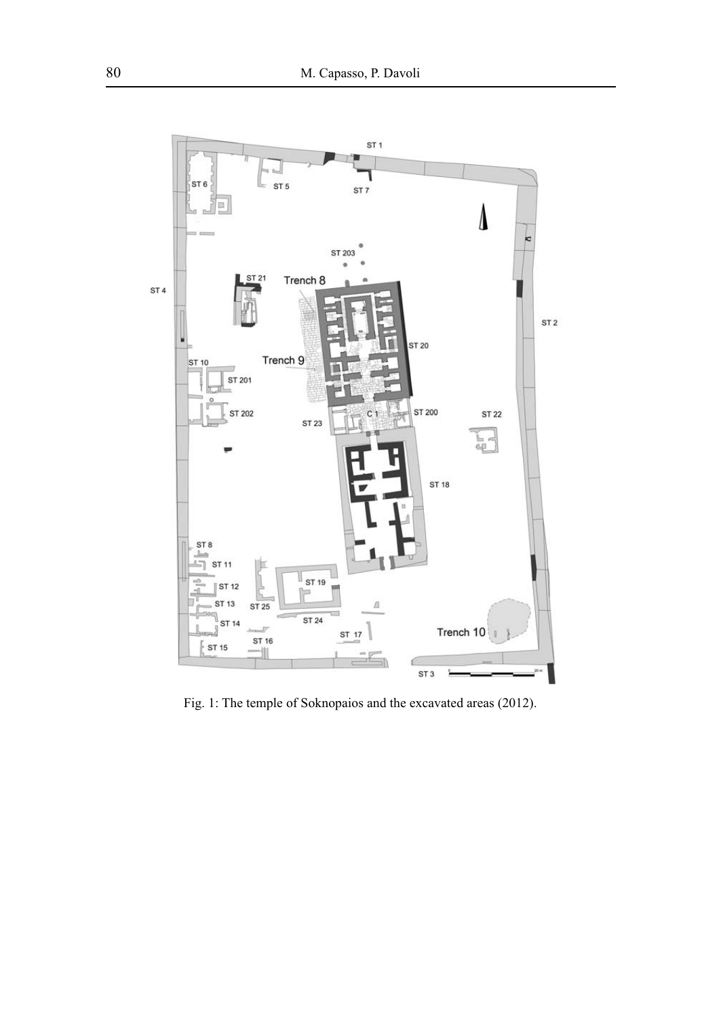

Fig. 1: The temple of soknopaios and the excavated areas (2012).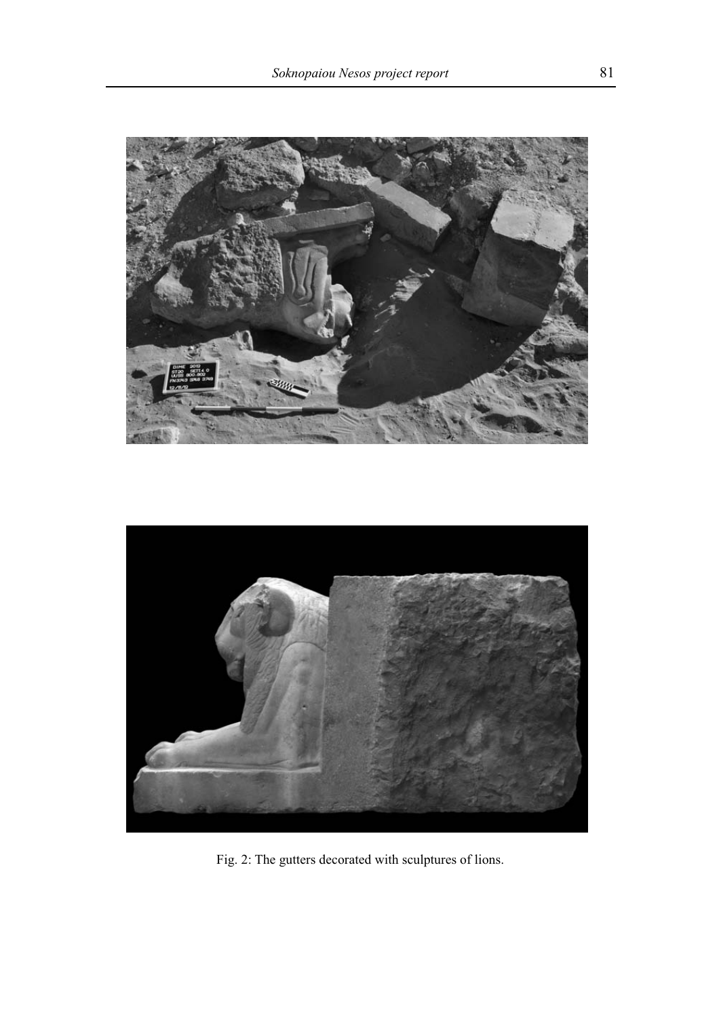



Fig. 2: The gutters decorated with sculptures of lions.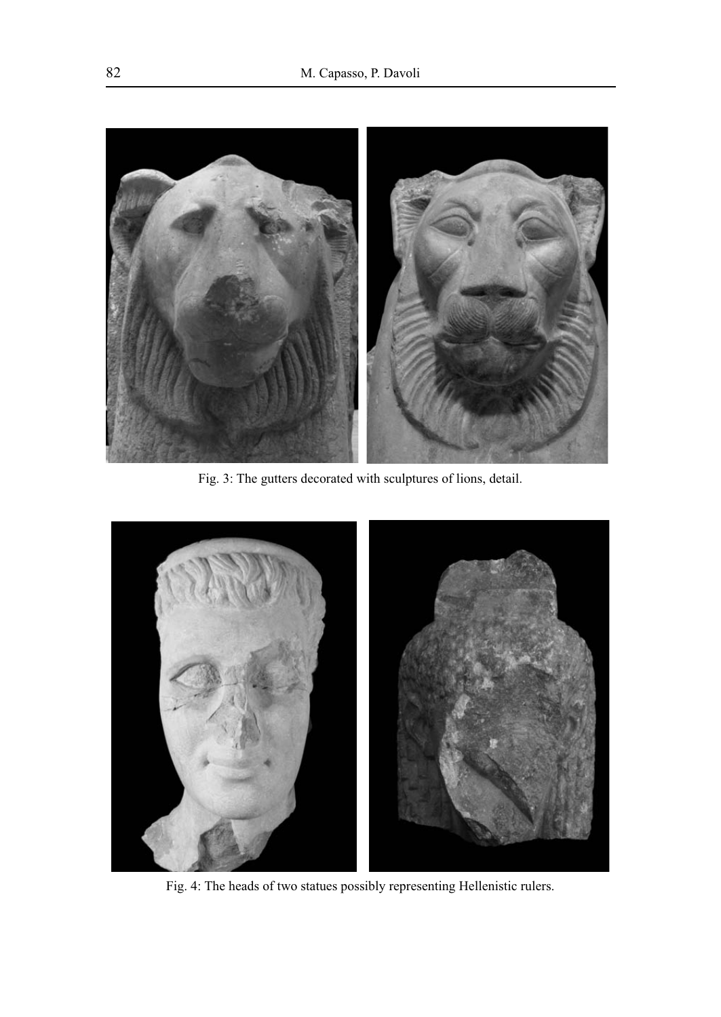

Fig. 3: The gutters decorated with sculptures of lions, detail.



Fig. 4: The heads of two statues possibly representing Hellenistic rulers.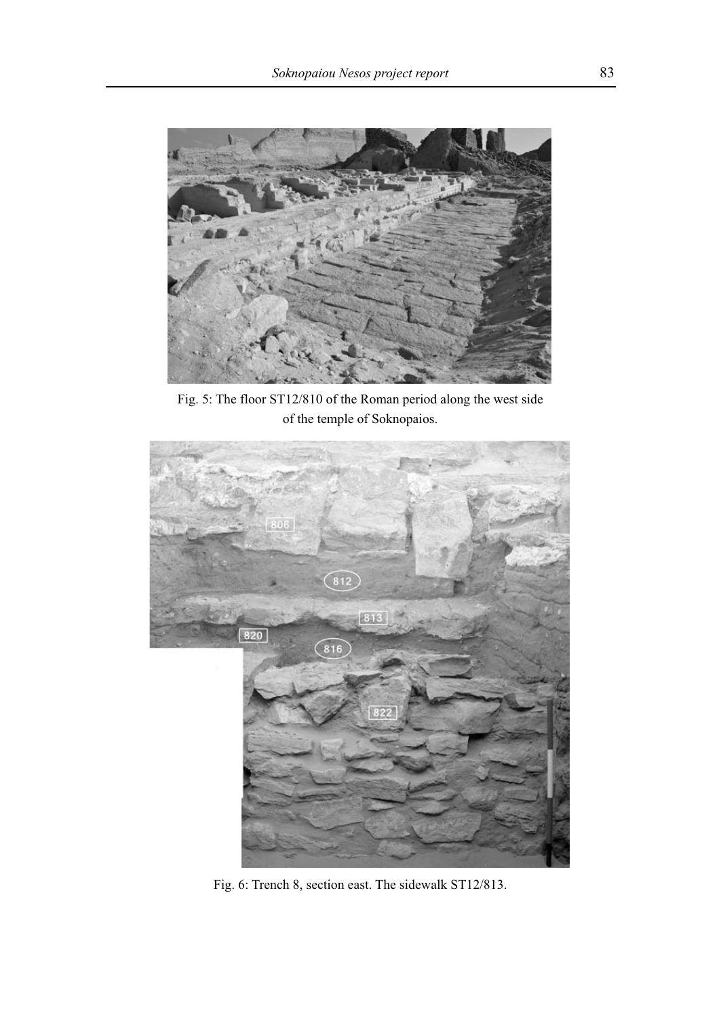

Fig. 5: The floor ST12/810 of the Roman period along the west side of the temple of soknopaios.



Fig. 6: Trench 8, section east. The sidewalk sT12/813.